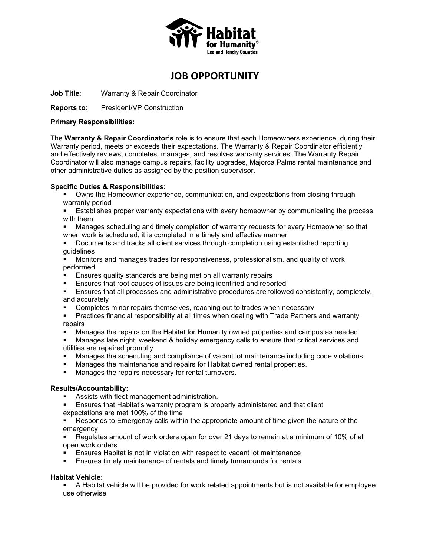

# **JOB OPPORTUNITY**

**Job Title**: Warranty & Repair Coordinator

**Reports to:** President/VP Construction

#### **Primary Responsibilities:**

The **Warranty & Repair Coordinator's** role is to ensure that each Homeowners experience, during their Warranty period, meets or exceeds their expectations. The Warranty & Repair Coordinator efficiently and effectively reviews, completes, manages, and resolves warranty services. The Warranty Repair Coordinator will also manage campus repairs, facility upgrades, Majorca Palms rental maintenance and other administrative duties as assigned by the position supervisor.

## **Specific Duties & Responsibilities:**

- Owns the Homeowner experience, communication, and expectations from closing through warranty period
- Establishes proper warranty expectations with every homeowner by communicating the process with them
- Manages scheduling and timely completion of warranty requests for every Homeowner so that when work is scheduled, it is completed in a timely and effective manner
- Documents and tracks all client services through completion using established reporting guidelines
- Monitors and manages trades for responsiveness, professionalism, and quality of work performed
- Ensures quality standards are being met on all warranty repairs
- Ensures that root causes of issues are being identified and reported
- **Ensures that all processes and administrative procedures are followed consistently, completely,** and accurately
- Completes minor repairs themselves, reaching out to trades when necessary
- Practices financial responsibility at all times when dealing with Trade Partners and warranty repairs
- Manages the repairs on the Habitat for Humanity owned properties and campus as needed
- Manages late night, weekend & holiday emergency calls to ensure that critical services and utilities are repaired promptly
- Manages the scheduling and compliance of vacant lot maintenance including code violations.
- **Manages the maintenance and repairs for Habitat owned rental properties.**
- **Manages the repairs necessary for rental turnovers.**

#### **Results/Accountability:**

- Assists with fleet management administration.
- Ensures that Habitat's warranty program is properly administered and that client expectations are met 100% of the time
- Responds to Emergency calls within the appropriate amount of time given the nature of the emergency
- Regulates amount of work orders open for over 21 days to remain at a minimum of 10% of all open work orders
- Ensures Habitat is not in violation with respect to vacant lot maintenance
- Ensures timely maintenance of rentals and timely turnarounds for rentals

# **Habitat Vehicle:**

 A Habitat vehicle will be provided for work related appointments but is not available for employee use otherwise